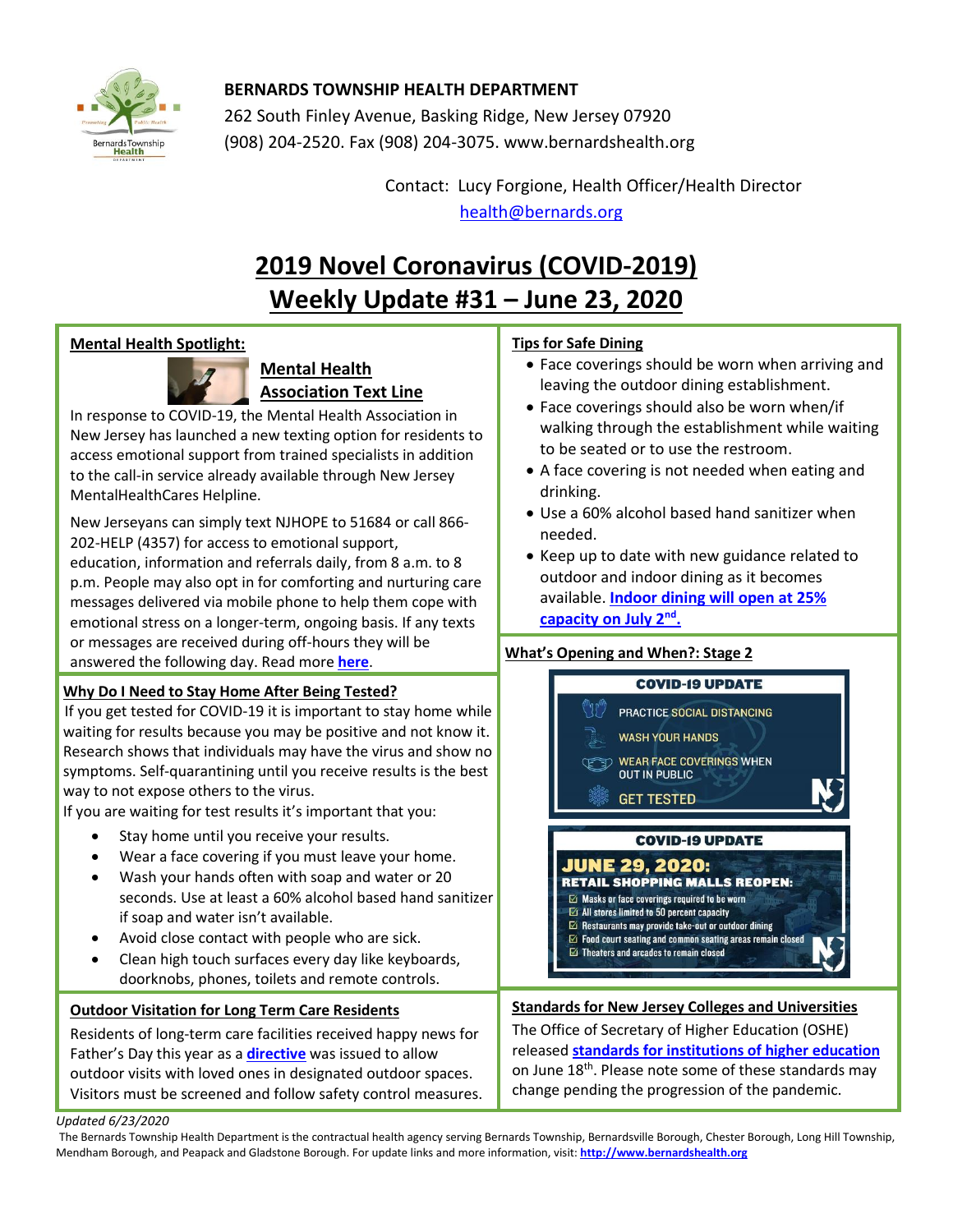

## **BERNARDS TOWNSHIP HEALTH DEPARTMENT**

262 South Finley Avenue, Basking Ridge, New Jersey 07920 (908) 204-2520. Fax (908) 204-3075[. www.bernardshealth.org](http://www.bernardshealth.org/)

> Contact: Lucy Forgione, Health Officer/Health Director [health@bernards.org](mailto:health@bernards.org)

## **2019 Novel Coronavirus (COVID-2019) Weekly Update #31 – June 23, 2020**

## **Mental Health Spotlight:**



## **Mental Health Association Text Line**

In response to COVID-19, the Mental Health Association in New Jersey has launched a new texting option for residents to access emotional support from trained specialists in addition to the call-in service already available through New Jersey MentalHealthCares Helpline.

New Jerseyans can simply text NJHOPE to 51684 or call 866- 202-HELP (4357) for access to emotional support, education, information and referrals daily, from 8 a.m. to 8 p.m. People may also opt in for comforting and nurturing care messages delivered via mobile phone to help them cope with emotional stress on a longer-term, ongoing basis. If any texts or messages are received during off-hours they will be answered the following day. Read more **[here](https://www.nj.gov/humanservices/news/pressreleases/2020/approved/20200608.html)**.

## **Why Do I Need to Stay Home After Being Tested?**

Research shows that individuals may have the virus and show no<br>expansion in the virus and show no symptoms. Self-quarantining until you receive results is the best<br>way to not avasse others to the virus If you get tested for COVID-19 it is important to stay home while waiting for results because you may be positive and not know it. way to not expose others to the virus.

way to not expose others to the virus.<br>If you are waiting for test results it's important that you:

- Stay home until you receive your results.
- Wear a face covering if you must leave your home.
- Wash your hands often with soap and water or 20 seconds. Use at least a 60% alcohol based hand sanitizer if soap and water isn't available.
- Avoid close contact with people who are sick.
- Clean high touch surfaces every day like keyboards, doorknobs, phones, toilets and remote controls.

## **Outdoor Visitation for Long Term Care Residents**

Residents of long-term care facilities received happy news for Father's Day this year as a **[directive](https://covid19.nj.gov/faqs/announcements/all-announcements/outdoor-visitation-with-long-term-care-residents-can-begin-sunday-june-21)** was issued to allow outdoor visits with loved ones in designated outdoor spaces. Visitors must be screened and follow safety control measures.

## **Tips for Safe Dining**

- Face coverings should be worn when arriving and leaving the outdoor dining establishment.
- Face coverings should also be worn when/if walking through the establishment while waiting to be seated or to use the restroom.
- A face covering is not needed when eating and drinking.
- Use a 60% alcohol based hand sanitizer when needed.
- Keep up to date with new guidance related to outdoor and indoor dining as it becomes available. **[Indoor dining will open at 25%](https://www.nj.com/coronavirus/2020/06/nj-to-reopen-indoor-dining-in-restaurants-on-july-2-with-capacity-limits.html)  [capacity on July 2](https://www.nj.com/coronavirus/2020/06/nj-to-reopen-indoor-dining-in-restaurants-on-july-2-with-capacity-limits.html)nd .**

### **What's Opening and When?: Stage 2**



- $\boxdot$  Masks or face coverings required to be worn
- $\boxtimes$  All stores limited to 50 percent capacity  $\boxtimes$  Restaurants may provide take-out or outdoor dining
- $\boxdot$  Food court seating and common seating areas remain closed
- $\boxdot$  Theaters and arcades to remain closed
	-

## **Standards for New Jersey Colleges and Universities**

The Office of Secretary of Higher Education (OSHE) released **[standards for institutions of higher education](https://covid19.nj.gov/faqs/announcements/all-announcements/office-of-the-secretary-of-higher-education-releases-restart-standards-for-new-jersey-colleges-and-universities)** on June 18<sup>th</sup>. Please note some of these standards may change pending the progression of the pandemic.

#### *Updated 6/23/2020*

The Bernards Township Health Department is the contractual health agency serving Bernards Township, Bernardsville Borough, Chester Borough, Long Hill Township, Mendham Borough, and Peapack and Gladstone Borough. For update links and more information, visit: **[http://www.bernardshealth.org](http://www.bernardshealth.org/)**